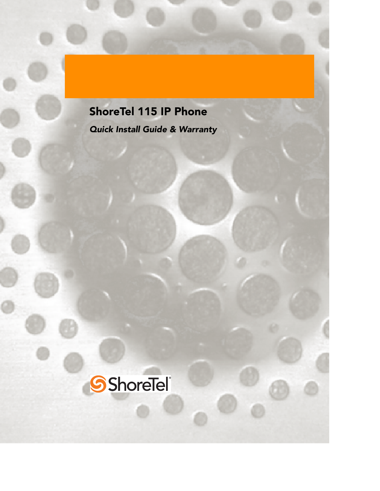# ShoreTel 115 IP Phone

*Quick Install Guide & Warranty*

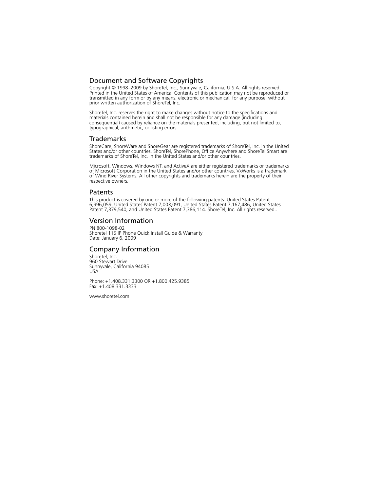## Document and Software Copyrights

Copyright © 1998–2009 by ShoreTel, Inc., Sunnyvale, California, U.S.A. All rights reserved. Printed in the United States of America. Contents of this publication may not be reproduced or transmitted in any form or by any means, electronic or mechanical, for any purpose, without prior written authorization of ShoreTel, Inc.

ShoreTel, Inc. reserves the right to make changes without notice to the specifications and materials contained herein and shall not be responsible for any damage (including consequential) caused by reliance on the materials presented, including, but not limited to, typographical, arithmetic, or listing errors.

### Trademarks

ShoreCare, ShoreWare and ShoreGear are registered trademarks of ShoreTel, Inc. in the United States and/or other countries. ShoreTel, ShorePhone, Office Anywhere and ShoreTel Smart are trademarks of ShoreTel, Inc. in the United States and/or other countries.

Microsoft, Windows, Windows NT, and ActiveX are either registered trademarks or trademarks of Microsoft Corporation in the United States and/or other countries. VxWorks is a trademark of Wind River Systems. All other copyrights and trademarks herein are the property of their respective owners.

### Patents

This product is covered by one or more of the following patents: United States Patent 6,996,059, United States Patent 7,003,091, United States Patent 7,167,486, United States Patent 7,379,540, and United States Patent 7,386,114. ShoreTel, Inc. All rights reserved..

#### Version Information

PN 800-1098-02 Shoretel 115 IP Phone Quick Install Guide & Warranty Date: January 6, 2009

#### Company Information

ShoreTel, Inc. 960 Stewart Drive Sunnyvale, California 94085 USA

Phone: +1.408.331.3300 OR +1.800.425.9385 Fax: +1.408.331.3333

www.shoretel.com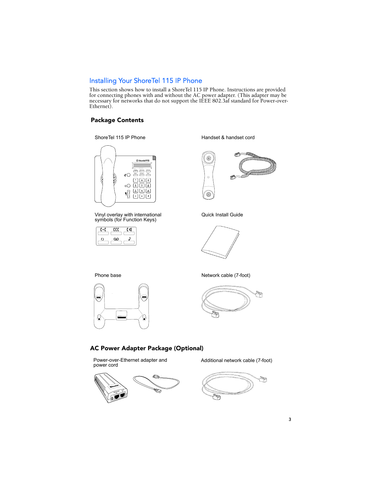## Installing Your ShoreTel 115 IP Phone

This section shows how to install a ShoreTel 115 IP Phone. Instructions are provided for connecting phones with and without the AC power adapter. (This adapter may be necessary for networks that do not support the IEEE 802.3af standard for Power-over-Ethernet).

## Package Contents

#### ShoreTel 115 IP Phone



Vinyl overlay with international symbols (for Function Keys)



Handset & handset cord



Quick Install Guide



Phone base



Network cable (7-foot)



#### AC Power Adapter Package (Optional)

Power-over-Ethernet adapter and<br>power cord



Additional network cable (7-foot)

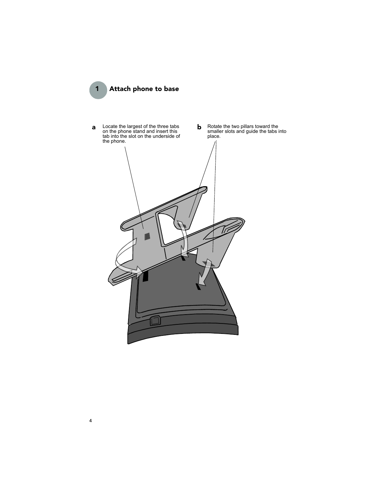1 Attach phone to base

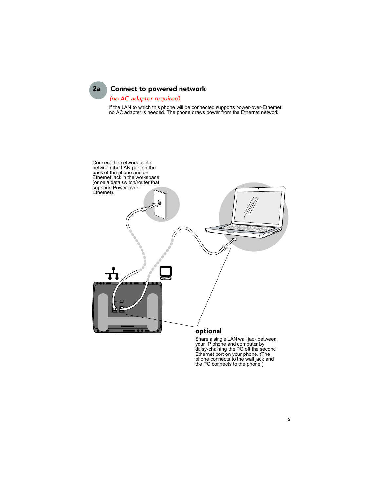# 2a Connect to powered network

## *(no AC adapter required)*

If the LAN to which this phone will be connected supports power-over-Ethernet, no AC adapter is needed. The phone draws power from the Ethernet network.



Share a single LAN wall jack between your IP phone and computer by daisy-chaining the PC off the second Ethernet port on your phone. (The phone connects to the wall jack and the PC connects to the phone.)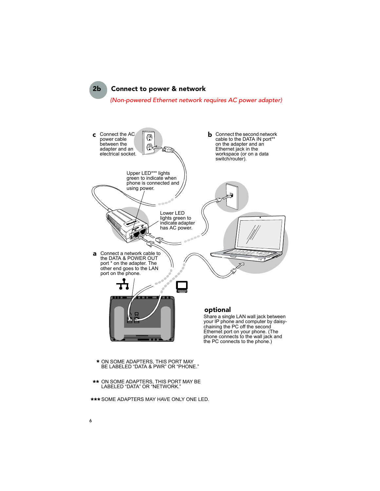2b Connect to power & network *(Non-powered Ethernet network requires AC power adapter)*



- ON SOME ADAPTERS, THIS PORT MAY BE LABELED "DATA & PWR" OR "PHONE." \*
- ON SOME ADAPTERS, THIS PORT MAY BE \*\* LABELED "DATA" OR "NETWORK."
- \*\*\* SOME ADAPTERS MAY HAVE ONLY ONE LED.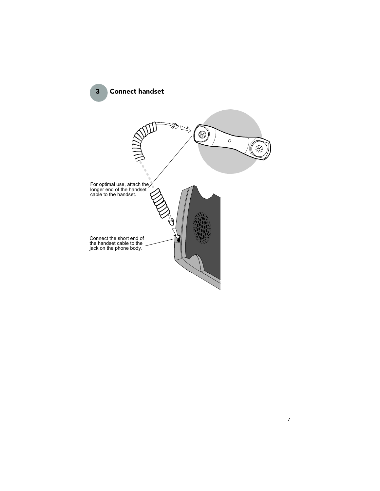3 Connect handset

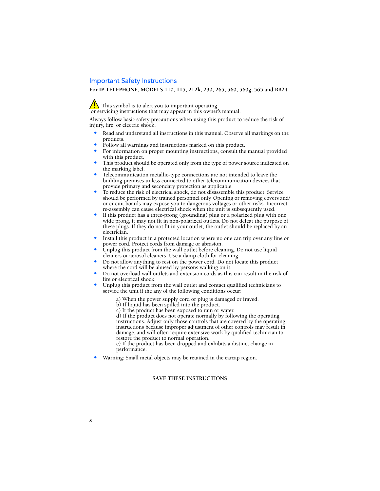## Important Safety Instructions

**For IP TELEPHONE, MODELS 110, 115, 212k, 230, 265, 560, 560g, 565 and BB24**

This symbol is to alert you to important operating or servicing instructions that may appear in this owner's manual.

Always follow basic safety precautions when using this product to reduce the risk of injury, fire, or electric shock.

- Read and understand all instructions in this manual. Observe all markings on the products.
- Follow all warnings and instructions marked on this product.
- For information on proper mounting instructions, consult the manual provided with this product.
- This product should be operated only from the type of power source indicated on the marking label.
- Telecommunication metallic-type connections are not intended to leave the building premises unless connected to other telecommunication devices that provide primary and secondary protection as applicable.
- To reduce the risk of electrical shock, do not disassemble this product. Service should be performed by trained personnel only. Opening or removing covers and/ or circuit boards may expose you to dangerous voltages or other risks. Incorrect re-assembly can cause electrical shock when the unit is subsequently used.
- If this product has a three-prong (grounding) plug or a polarized plug with one wide prong, it may not fit in non-polarized outlets. Do not defeat the purpose of these plugs. If they do not fit in your outlet, the outlet should be replaced by an electrician.
- Install this product in a protected location where no one can trip over any line or power cord. Protect cords from damage or abrasion.
- Unplug this product from the wall outlet before cleaning. Do not use liquid cleaners or aerosol cleaners. Use a damp cloth for cleaning.
- Do not allow anything to rest on the power cord. Do not locate this product where the cord will be abused by persons walking on it.
- Do not overload wall outlets and extension cords as this can result in the risk of fire or electrical shock.
- Unplug this product from the wall outlet and contact qualified technicians to service the unit if the any of the following conditions occur:
	- a) When the power supply cord or plug is damaged or frayed.
	- b) If liquid has been spilled into the product.
	- c) If the product has been exposed to rain or water.

d) If the product does not operate normally by following the operating instructions. Adjust only those controls that are covered by the operating instructions because improper adjustment of other controls may result in damage, and will often require extensive work by qualified technician to restore the product to normal operation.

e) If the product has been dropped and exhibits a distinct change in performance.

• Warning: Small metal objects may be retained in the earcap region.

#### **SAVE THESE INSTRUCTIONS**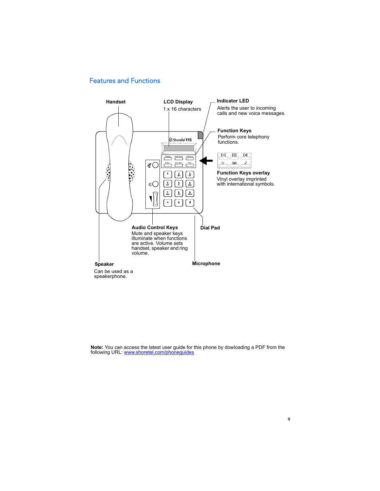# Features and Functions



**Note:** You can access the latest user guide for this phone by dowloading a PDF from the following URL: www.shoretel.com/phoneguides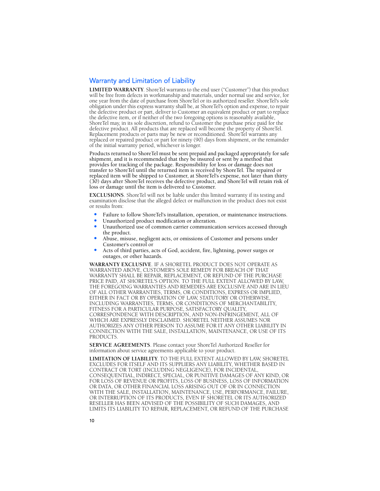## Warranty and Limitation of Liability

**LIMITED WARRANTY**. ShoreTel warrants to the end user ("Customer") that this product will be free from defects in workmanship and materials, under normal use and service, for one year from the date of purchase from ShoreTel or its authorized reseller. ShoreTel's sole obligation under this express warranty shall be, at ShoreTel's option and expense, to repair the defective product or part, deliver to Customer an equivalent product or part to replace the defective item, or if neither of the two foregoing options is reasonably available, ShoreTel may, in its sole discretion, refund to Customer the purchase price paid for the defective product. All products that are replaced will become the property of ShoreTel. Replacement products or parts may be new or reconditioned. ShoreTel warrants any replaced or repaired product or part for ninety (90) days from shipment, or the remainder of the initial warranty period, whichever is longer.

Products returned to ShoreTel must be sent prepaid and packaged appropriately for safe shipment, and it is recommended that they be insured or sent by a method that provides for tracking of the package. Responsibility for loss or damage does not transfer to ShoreTel until the returned item is received by ShoreTel. The repaired or replaced item will be shipped to Customer, at ShoreTel's expense, not later than thirty (30) days after ShoreTel receives the defective product, and ShoreTel will retain risk of loss or damage until the item is delivered to Customer.

**EXCLUSIONS**. ShoreTel will not be liable under this limited warranty if its testing and examination disclose that the alleged defect or malfunction in the product does not exist or results from:

- Failure to follow ShoreTel's installation, operation, or maintenance instructions.
- Unauthorized product modification or alteration.
- Unauthorized use of common carrier communication services accessed through the product.
- Abuse, misuse, negligent acts, or omissions of Customer and persons under Customer's control or
- Acts of third parties, acts of God, accident, fire, lightning, power surges or outages, or other hazards.

**WARRANTY EXCLUSIVE**. IF A SHORETEL PRODUCT DOES NOT OPERATE AS WARRANTED ABOVE, CUSTOMER'S SOLE REMEDY FOR BREACH OF THAT WARRANTY SHALL BE REPAIR, REPLACEMENT, OR REFUND OF THE PURCHASE PRICE PAID, AT SHORETEL'S OPTION. TO THE FULL EXTENT ALLOWED BY LAW, THE FOREGOING WARRANTIES AND REMEDIES ARE EXCLUSIVE AND ARE IN LIEU OF ALL OTHER WARRANTIES, TERMS, OR CONDITIONS, EXPRESS OR IMPLIED, EITHER IN FACT OR BY OPERATION OF LAW, STATUTORY OR OTHERWISE, INCLUDING WARRANTIES, TERMS, OR CONDITIONS OF MERCHANTABILITY, FITNESS FOR A PARTICULAR PURPOSE, SATISFACTORY QUALITY, CORRESPONDENCE WITH DESCRIPTION, AND NON-INFRINGEMENT, ALL OF WHICH ARE EXPRESSLY DISCLAIMED. SHORETEL NEITHER ASSUMES NOR AUTHORIZES ANY OTHER PERSON TO ASSUME FOR IT ANY OTHER LIABILITY IN CONNECTION WITH THE SALE, INSTALLATION, MAINTENANCE, OR USE OF ITS PRODUCTS.

**SERVICE AGREEMENTS**. Please contact your ShoreTel Authorized Reseller for information about service agreements applicable to your product.

**LIMITATION OF LIABILITY**. TO THE FULL EXTENT ALLOWED BY LAW, SHORETEL EXCLUDES FOR ITSELF AND ITS SUPPLIERS ANY LIABILITY, WHETHER BASED IN CONTRACT OR TORT (INCLUDING NEGLIGENCE), FOR INCIDENTAL, CONSEQUENTIAL, INDIRECT, SPECIAL, OR PUNITIVE DAMAGES OF ANY KIND, OR FOR LOSS OF REVENUE OR PROFITS, LOSS OF BUSINESS, LOSS OF INFORMATION OR DATA, OR OTHER FINANCIAL LOSS ARISING OUT OF OR IN CONNECTION WITH THE SALE, INSTALLATION, MAINTENANCE, USE, PERFORMANCE, FAILURE, OR INTERRUPTION OF ITS PRODUCTS, EVEN IF SHORETEL OR ITS AUTHORIZED RESELLER HAS BEEN ADVISED OF THE POSSIBILITY OF SUCH DAMAGES, AND LIMITS ITS LIABILITY TO REPAIR, REPLACEMENT, OR REFUND OF THE PURCHASE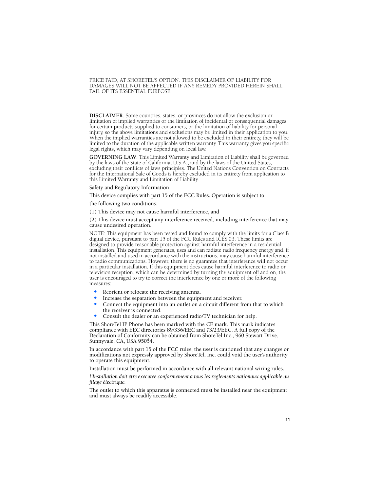PRICE PAID, AT SHORETEL'S OPTION. THIS DISCLAIMER OF LIABILITY FOR DAMAGES WILL NOT BE AFFECTED IF ANY REMEDY PROVIDED HEREIN SHALL FAIL OF ITS ESSENTIAL PURPOSE.

**DISCLAIMER**. Some countries, states, or provinces do not allow the exclusion or limitation of implied warranties or the limitation of incidental or consequential damages for certain products supplied to consumers, or the limitation of liability for personal injury, so the above limitations and exclusions may be limited in their application to you. When the implied warranties are not allowed to be excluded in their entirety, they will be limited to the duration of the applicable written warranty. This warranty gives you specific legal rights, which may vary depending on local law.

**GOVERNING LAW**. This Limited Warranty and Limitation of Liability shall be governed by the laws of the State of California, U.S.A., and by the laws of the United States, excluding their conflicts of laws principles. The United Nations Convention on Contracts for the International Sale of Goods is hereby excluded in its entirety from application to this Limited Warranty and Limitation of Liability.

#### Safety and Regulatory Information

This device complies with part 15 of the FCC Rules. Operation is subject to

the following two conditions:

(1) This device may not cause harmful interference, and

(2) This device must accept any interference received, including interference that may cause undesired operation.

NOTE: This equipment has been tested and found to comply with the limits for a Class B digital device, pursuant to part 15 of the FCC Rules and ICES 03. These limits are designed to provide reasonable protection against harmful interference in a residential installation. This equipment generates, uses and can radiate radio frequency energy and, if not installed and used in accordance with the instructions, may cause harmful interference to radio communications. However, there is no guarantee that interference will not occur in a particular installation. If this equipment does cause harmful interference to radio or television reception, which can be determined by turning the equipment off and on, the user is encouraged to try to correct the interference by one or more of the following measures:

- Reorient or relocate the receiving antenna.
- Increase the separation between the equipment and receiver.
- Connect the equipment into an outlet on a circuit different from that to which the receiver is connected.
- Consult the dealer or an experienced radio/TV technician for help.

This ShoreTel IP Phone has been marked with the CE mark. This mark indicates compliance with EEC directories 89/336/EEC and 73/23/EEC. A full copy of the Declaration of Conformity can be obtained from ShoreTel Inc., 960 Stewart Drive, Sunnyvale, CA, USA 95054.

In accordance with part 15 of the FCC rules, the user is cautioned that any changes or modifications not expressly approved by ShoreTel, Inc. could void the user's authority to operate this equipment.

Installation must be performed in accordance with all relevant national wiring rules.

*L'Installation doit être exécutée conformément à tous les règlements nationaux applicable au filage électrique.* 

The outlet to which this apparatus is connected must be installed near the equipment and must always be readily accessible.